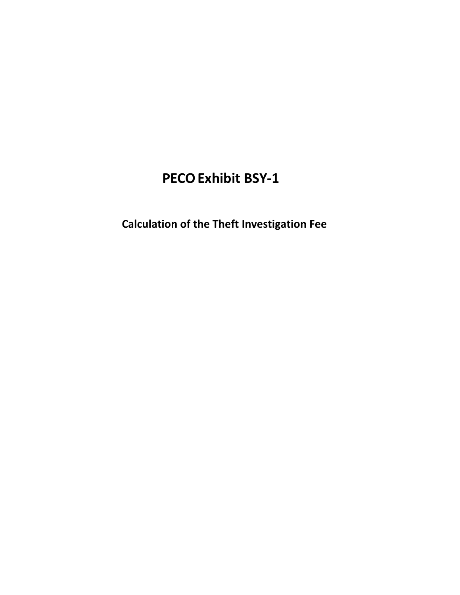# **PECOExhibit BSY-1**

 **Calculation of the Theft Investigation Fee**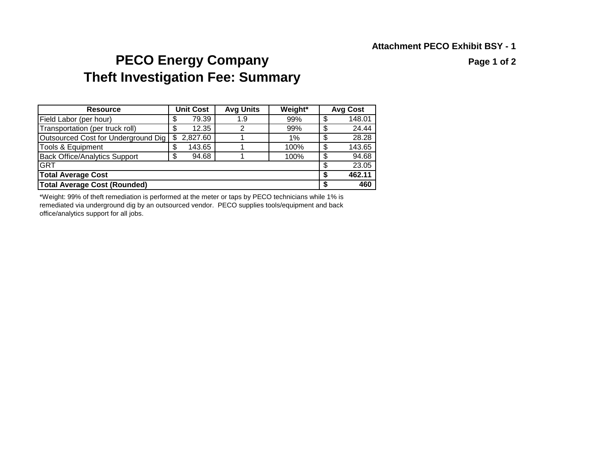## **PECO Energy Company PECO Energy Company Theft Investigation Fee: Summary**

| <b>Resource</b>                      |    | <b>Unit Cost</b> | <b>Avg Units</b> | Weight* |    | <b>Avg Cost</b> |
|--------------------------------------|----|------------------|------------------|---------|----|-----------------|
| Field Labor (per hour)               | \$ | 79.39            | 1.9              | 99%     | \$ | 148.01          |
| Transportation (per truck roll)      | \$ | 12.35            | 2                | 99%     | \$ | 24.44           |
| Outsourced Cost for Underground Dig  | \$ | 2,827.60         |                  | $1\%$   | \$ | 28.28           |
| <b>Tools &amp; Equipment</b>         | \$ | 143.65           |                  | 100%    | \$ | 143.65          |
| <b>Back Office/Analytics Support</b> | \$ | 94.68            |                  | 100%    | \$ | 94.68           |
| <b>GRT</b>                           |    |                  |                  |         | \$ | 23.05           |
| <b>Total Average Cost</b>            | S  | 462.11           |                  |         |    |                 |
| <b>Total Average Cost (Rounded)</b>  |    |                  |                  |         |    | 460             |

\*Weight: 99% of theft remediation is performed at the meter or taps by PECO technicians while 1% is remediated via underground dig by an outsourced vendor. PECO supplies tools/equipment and back office/analytics support for all jobs.